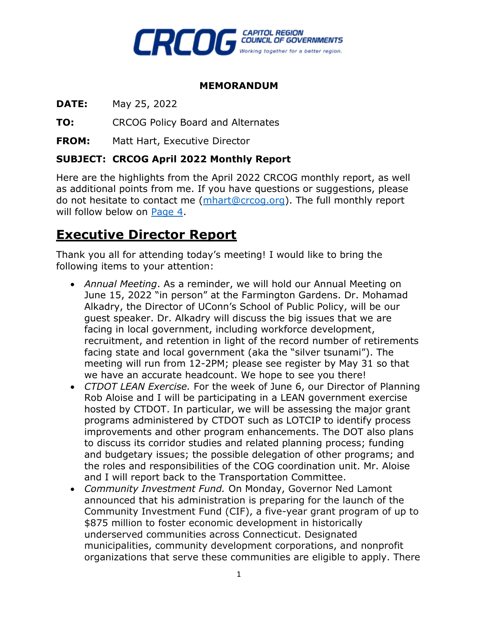

#### **MEMORANDUM**

**DATE:** May 25, 2022

**TO:** CRCOG Policy Board and Alternates

**FROM:** Matt Hart, Executive Director

#### **SUBJECT: CRCOG April 2022 Monthly Report**

Here are the highlights from the April 2022 CRCOG monthly report, as well as additional points from me. If you have questions or suggestions, please do not hesitate to contact me [\(mhart@crcog.org\)](mailto:mhart@crcog.org). The full monthly report will follow below on [Page](#page-3-0) 4.

# **Executive Director Report**

Thank you all for attending today's meeting! I would like to bring the following items to your attention:

- *Annual Meeting*. As a reminder, we will hold our Annual Meeting on June 15, 2022 "in person" at the Farmington Gardens. Dr. Mohamad Alkadry, the Director of UConn's School of Public Policy, will be our guest speaker. Dr. Alkadry will discuss the big issues that we are facing in local government, including workforce development, recruitment, and retention in light of the record number of retirements facing state and local government (aka the "silver tsunami"). The meeting will run from 12-2PM; please see register by May 31 so that we have an accurate headcount. We hope to see you there!
- *CTDOT LEAN Exercise.* For the week of June 6, our Director of Planning Rob Aloise and I will be participating in a LEAN government exercise hosted by CTDOT. In particular, we will be assessing the major grant programs administered by CTDOT such as LOTCIP to identify process improvements and other program enhancements. The DOT also plans to discuss its corridor studies and related planning process; funding and budgetary issues; the possible delegation of other programs; and the roles and responsibilities of the COG coordination unit. Mr. Aloise and I will report back to the Transportation Committee.
- *Community Investment Fund.* On Monday, Governor Ned Lamont announced that his administration is preparing for the launch of the Community Investment Fund (CIF), a five-year grant program of up to \$875 million to foster economic development in historically underserved communities across Connecticut. Designated municipalities, community development corporations, and nonprofit organizations that serve these communities are eligible to apply. There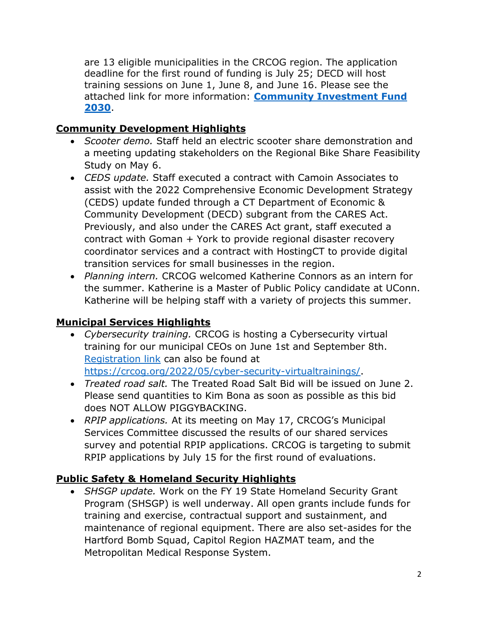are 13 eligible municipalities in the CRCOG region. The application deadline for the first round of funding is July 25; DECD will host training sessions on June 1, June 8, and June 16. Please see the attached link for more information: **[Community Investment Fund](https://nam12.safelinks.protection.outlook.com/?url=https%3A%2F%2Fofficeofthegovernor.cmail19.com%2Ft%2Fj-l-vlhlyhy-tllukttyld-u%2F&data=05%7C01%7Cfigurelj%40wseinc.com%7Cfb1a2580117a468637e108da3cd8709b%7C1a0770bc47964537b9da66030b9bd1a4%7C0%7C0%7C637889197569989526%7CUnknown%7CTWFpbGZsb3d8eyJWIjoiMC4wLjAwMDAiLCJQIjoiV2luMzIiLCJBTiI6Ik1haWwiLCJXVCI6Mn0%3D%7C3000%7C%7C%7C&sdata=ryigFQPIh3bq%2BrzYx6epz368yMHk4l9bpNFCJlQfIWk%3D&reserved=0)  [2030](https://nam12.safelinks.protection.outlook.com/?url=https%3A%2F%2Fofficeofthegovernor.cmail19.com%2Ft%2Fj-l-vlhlyhy-tllukttyld-u%2F&data=05%7C01%7Cfigurelj%40wseinc.com%7Cfb1a2580117a468637e108da3cd8709b%7C1a0770bc47964537b9da66030b9bd1a4%7C0%7C0%7C637889197569989526%7CUnknown%7CTWFpbGZsb3d8eyJWIjoiMC4wLjAwMDAiLCJQIjoiV2luMzIiLCJBTiI6Ik1haWwiLCJXVCI6Mn0%3D%7C3000%7C%7C%7C&sdata=ryigFQPIh3bq%2BrzYx6epz368yMHk4l9bpNFCJlQfIWk%3D&reserved=0)**.

# **Community Development Highlights**

- *Scooter demo.* Staff held an electric scooter share demonstration and a meeting updating stakeholders on the Regional Bike Share Feasibility Study on May 6.
- *CEDS update.* Staff executed a contract with Camoin Associates to assist with the 2022 Comprehensive Economic Development Strategy (CEDS) update funded through a CT Department of Economic & Community Development (DECD) subgrant from the CARES Act. Previously, and also under the CARES Act grant, staff executed a contract with Goman + York to provide regional disaster recovery coordinator services and a contract with HostingCT to provide digital transition services for small businesses in the region.
- *Planning intern.* CRCOG welcomed Katherine Connors as an intern for the summer. Katherine is a Master of Public Policy candidate at UConn. Katherine will be helping staff with a variety of projects this summer.

# **Municipal Services Highlights**

- *Cybersecurity training.* CRCOG is hosting a Cybersecurity virtual training for our municipal CEOs on June 1st and September 8th. [Registration link](https://forms.office.com/pages/responsepage.aspx?id=Ir8ejNsOqkCGizHFmOcX-rhGSkygq1VIqN1-gC9uIydUQjU1NlZFTjROTjE4UVROM1dCQk9EWVZXRS4u) can also be found at [https://crcog.org/2022/05/cyber-security-virtualtrainings/.](https://crcog.org/2022/05/cyber-security-virtualtrainings/)
- *Treated road salt.* The Treated Road Salt Bid will be issued on June 2. Please send quantities to Kim Bona as soon as possible as this bid does NOT ALLOW PIGGYBACKING.
- *RPIP applications.* At its meeting on May 17, CRCOG's Municipal Services Committee discussed the results of our shared services survey and potential RPIP applications. CRCOG is targeting to submit RPIP applications by July 15 for the first round of evaluations.

# **Public Safety & Homeland Security Highlights**

• *SHSGP update.* Work on the FY 19 State Homeland Security Grant Program (SHSGP) is well underway. All open grants include funds for training and exercise, contractual support and sustainment, and maintenance of regional equipment. There are also set-asides for the Hartford Bomb Squad, Capitol Region HAZMAT team, and the Metropolitan Medical Response System.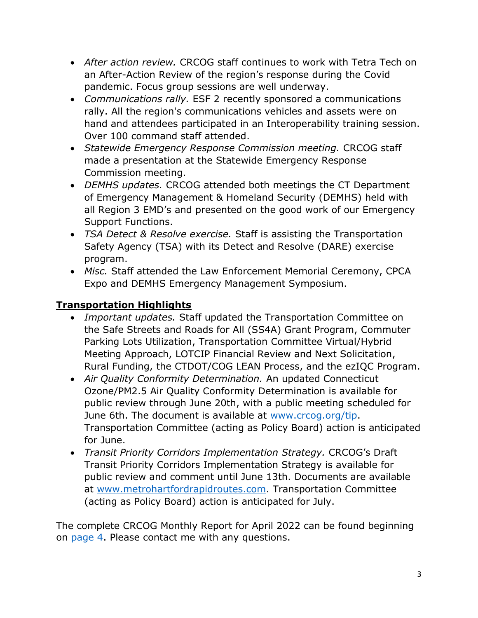- *After action review.* CRCOG staff continues to work with Tetra Tech on an After-Action Review of the region's response during the Covid pandemic. Focus group sessions are well underway.
- *Communications rally.* ESF 2 recently sponsored a communications rally. All the region's communications vehicles and assets were on hand and attendees participated in an Interoperability training session. Over 100 command staff attended.
- *Statewide Emergency Response Commission meeting.* CRCOG staff made a presentation at the Statewide Emergency Response Commission meeting.
- *DEMHS updates.* CRCOG attended both meetings the CT Department of Emergency Management & Homeland Security (DEMHS) held with all Region 3 EMD's and presented on the good work of our Emergency Support Functions.
- *TSA Detect & Resolve exercise.* Staff is assisting the Transportation Safety Agency (TSA) with its Detect and Resolve (DARE) exercise program.
- *Misc.* Staff attended the Law Enforcement Memorial Ceremony, CPCA Expo and DEMHS Emergency Management Symposium.

# **Transportation Highlights**

- *Important updates.* Staff updated the Transportation Committee on the Safe Streets and Roads for All (SS4A) Grant Program, Commuter Parking Lots Utilization, Transportation Committee Virtual/Hybrid Meeting Approach, LOTCIP Financial Review and Next Solicitation, Rural Funding, the CTDOT/COG LEAN Process, and the ezIQC Program.
- *Air Quality Conformity Determination.* An updated Connecticut Ozone/PM2.5 Air Quality Conformity Determination is available for public review through June 20th, with a public meeting scheduled for June 6th. The document is available at [www.crcog.org/tip.](http://www.crcog.org/tip) Transportation Committee (acting as Policy Board) action is anticipated for June.
- *Transit Priority Corridors Implementation Strategy.* CRCOG's Draft Transit Priority Corridors Implementation Strategy is available for public review and comment until June 13th. Documents are available at [www.metrohartfordrapidroutes.com.](http://www.metrohartfordrapidroutes.com/) Transportation Committee (acting as Policy Board) action is anticipated for July.

The complete CRCOG Monthly Report for April 2022 can be found beginning on [page 4.](#page-3-0) Please contact me with any questions.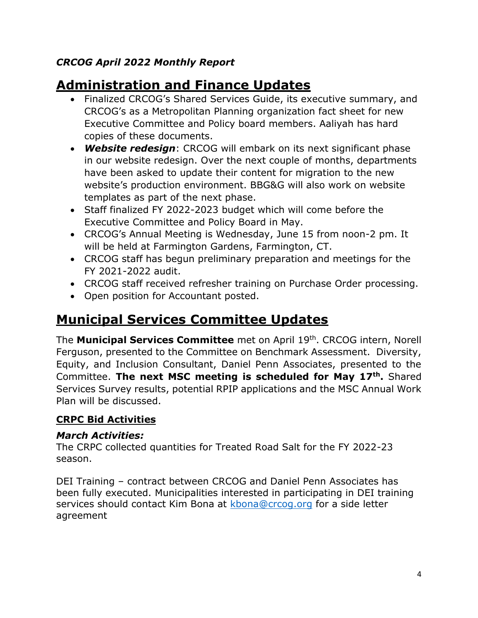# <span id="page-3-0"></span>*CRCOG April 2022 Monthly Report*

# **Administration and Finance Updates**

- Finalized CRCOG's Shared Services Guide, its executive summary, and CRCOG's as a Metropolitan Planning organization fact sheet for new Executive Committee and Policy board members. Aaliyah has hard copies of these documents.
- *Website redesign*: CRCOG will embark on its next significant phase in our website redesign. Over the next couple of months, departments have been asked to update their content for migration to the new website's production environment. BBG&G will also work on website templates as part of the next phase.
- Staff finalized FY 2022-2023 budget which will come before the Executive Committee and Policy Board in May.
- CRCOG's Annual Meeting is Wednesday, June 15 from noon-2 pm. It will be held at Farmington Gardens, Farmington, CT.
- CRCOG staff has begun preliminary preparation and meetings for the FY 2021-2022 audit.
- CRCOG staff received refresher training on Purchase Order processing.
- Open position for Accountant posted.

# **Municipal Services Committee Updates**

The **Municipal Services Committee** met on April 19th. CRCOG intern, Norell Ferguson, presented to the Committee on Benchmark Assessment. Diversity, Equity, and Inclusion Consultant, Daniel Penn Associates, presented to the Committee. **The next MSC meeting is scheduled for May 17th.** Shared Services Survey results, potential RPIP applications and the MSC Annual Work Plan will be discussed.

# **CRPC Bid Activities**

#### *March Activities:*

The CRPC collected quantities for Treated Road Salt for the FY 2022-23 season.

DEI Training – contract between CRCOG and Daniel Penn Associates has been fully executed. Municipalities interested in participating in DEI training services should contact Kim Bona at [kbona@crcog.org](mailto:kbona@crcog.org) for a side letter agreement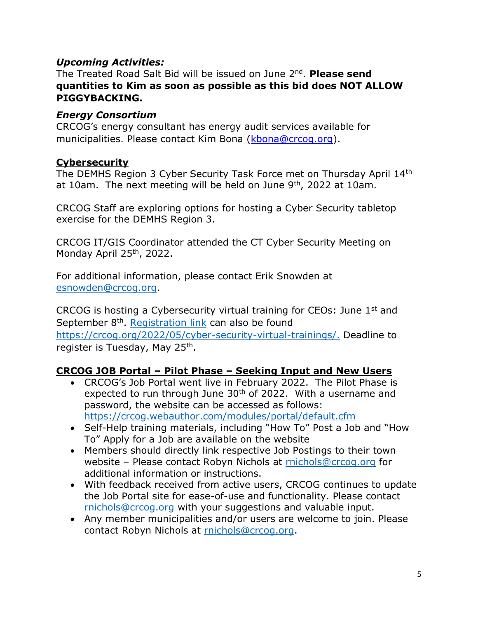#### *Upcoming Activities:*

The Treated Road Salt Bid will be issued on June 2nd . **Please send quantities to Kim as soon as possible as this bid does NOT ALLOW PIGGYBACKING.**

#### *Energy Consortium*

CRCOG's energy consultant has energy audit services available for municipalities. Please contact Kim Bona [\(kbona@crcog.org\)](mailto:kbona@crcog.org).

#### **Cybersecurity**

The DEMHS Region 3 Cyber Security Task Force met on Thursday April 14th at 10am. The next meeting will be held on June  $9<sup>th</sup>$ , 2022 at 10am.

CRCOG Staff are exploring options for hosting a Cyber Security tabletop exercise for the DEMHS Region 3.

CRCOG IT/GIS Coordinator attended the CT Cyber Security Meeting on Monday April 25<sup>th</sup>, 2022.

For additional information, please contact Erik Snowden at [esnowden@crcog.org.](mailto:esnowden@crcog.org)

CRCOG is hosting a Cybersecurity virtual training for CEOs: June 1st and September 8<sup>th</sup>. [Registration link](https://r20.rs6.net/tn.jsp?f=001Bew2DjXPIGbguMYG8nVmIu4MNN3W7-vyC5y3dFMEAMLl9Cgot5QNLNcwKo2j4cYIUvBNmqYjoylWyxXVCJlUIW9eV3UT_m7mUr5ceCoqoE_6qSWgyM3iUO5AtiaeYtjqxd0dOIZkxjAYtS5Nlv3Rsyw5rHnM1A0rDBeT-TBr-1c=&c=KimiB8ovlk3bUW2T1SIF8KnH5yUJBvVn34N7PTaNblz64wARq9HVug==&ch=fEfZG11mpTIcplQaVDVigEk0HCEiVFkRW5KU-ff_x16C0SeWI8a4aw==) can also be found [https://crcog.org/2022/05/cyber-security-virtual-trainings/.](https://crcog.org/2022/05/cyber-security-virtual-trainings/) Deadline to register is Tuesday, May 25<sup>th</sup>.

#### **CRCOG JOB Portal – Pilot Phase – Seeking Input and New Users**

- CRCOG's Job Portal went live in February 2022. The Pilot Phase is expected to run through June  $30<sup>th</sup>$  of 2022. With a username and password, the website can be accessed as follows: <https://crcog.webauthor.com/modules/portal/default.cfm>
- Self-Help training materials, including "How To" Post a Job and "How To" Apply for a Job are available on the website
- Members should directly link respective Job Postings to their town website – Please contact Robyn Nichols at [rnichols@crcog.org](mailto:rnichols@crcog.org) for additional information or instructions.
- With feedback received from active users, CRCOG continues to update the Job Portal site for ease-of-use and functionality. Please contact [rnichols@crcog.org](mailto:rnichols@crcog.org) with your suggestions and valuable input.
- Any member municipalities and/or users are welcome to join. Please contact Robyn Nichols at [rnichols@crcog.org.](mailto:rnichols@crcog.org)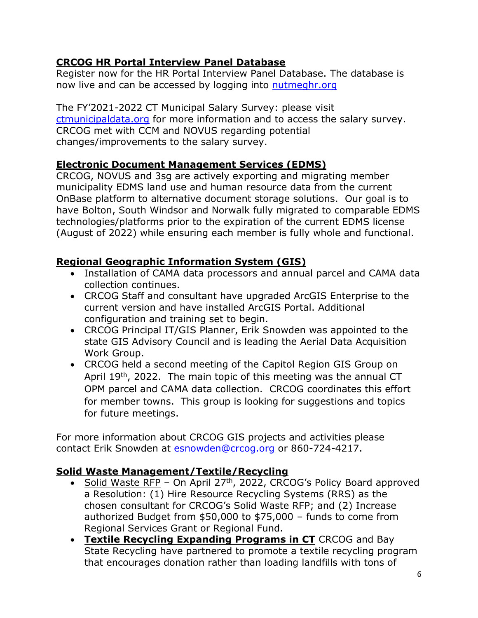## **CRCOG HR Portal Interview Panel Database**

Register now for the HR Portal Interview Panel Database. The database is now live and can be accessed by logging into [nutmeghr.org](https://nutmeghr.org/interviewpanel/registration)

The FY'2021-2022 CT Municipal Salary Survey: please visit [ctmunicipaldata.org](https://ctmunicipaldata.org/) for more information and to access the salary survey. CRCOG met with CCM and NOVUS regarding potential changes/improvements to the salary survey.

## **Electronic Document Management Services (EDMS)**

CRCOG, NOVUS and 3sg are actively exporting and migrating member municipality EDMS land use and human resource data from the current OnBase platform to alternative document storage solutions. Our goal is to have Bolton, South Windsor and Norwalk fully migrated to comparable EDMS technologies/platforms prior to the expiration of the current EDMS license (August of 2022) while ensuring each member is fully whole and functional.

# **Regional Geographic Information System (GIS)**

- Installation of CAMA data processors and annual parcel and CAMA data collection continues.
- CRCOG Staff and consultant have upgraded ArcGIS Enterprise to the current version and have installed ArcGIS Portal. Additional configuration and training set to begin.
- CRCOG Principal IT/GIS Planner, Erik Snowden was appointed to the state GIS Advisory Council and is leading the Aerial Data Acquisition Work Group.
- CRCOG held a second meeting of the Capitol Region GIS Group on April 19<sup>th</sup>, 2022. The main topic of this meeting was the annual CT OPM parcel and CAMA data collection. CRCOG coordinates this effort for member towns. This group is looking for suggestions and topics for future meetings.

For more information about CRCOG GIS projects and activities please contact Erik Snowden at [esnowden@crcog.org](mailto:esnowden@crcog.org) or 860-724-4217.

#### **Solid Waste Management/Textile/Recycling**

- Solid Waste RFP On April 27<sup>th</sup>, 2022, CRCOG's Policy Board approved a Resolution: (1) Hire Resource Recycling Systems (RRS) as the chosen consultant for CRCOG's Solid Waste RFP; and (2) Increase authorized Budget from \$50,000 to \$75,000 – funds to come from Regional Services Grant or Regional Fund.
- **Textile Recycling Expanding Programs in CT** CRCOG and Bay State Recycling have partnered to promote a textile recycling program that encourages donation rather than loading landfills with tons of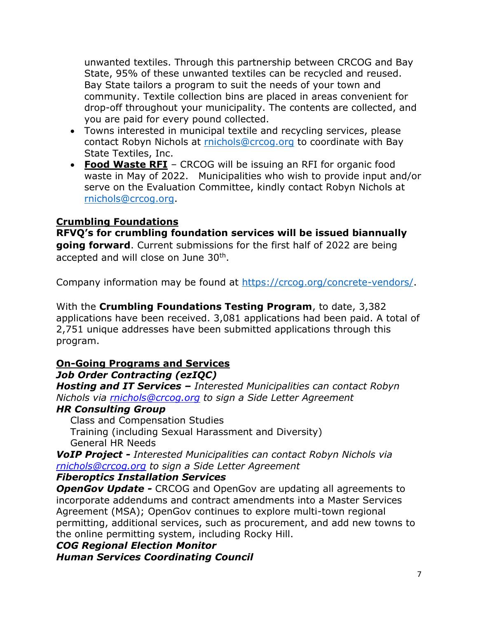unwanted textiles. Through this partnership between CRCOG and Bay State, 95% of these unwanted textiles can be recycled and reused. Bay State tailors a program to suit the needs of your town and community. Textile collection bins are placed in areas convenient for drop-off throughout your municipality. The contents are collected, and you are paid for every pound collected.

- Towns interested in municipal textile and recycling services, please contact Robyn Nichols at [rnichols@crcog.org](mailto:rnichols@crcog.org) to coordinate with Bay State Textiles, Inc.
- **Food Waste RFI** CRCOG will be issuing an RFI for organic food waste in May of 2022. Municipalities who wish to provide input and/or serve on the Evaluation Committee, kindly contact Robyn Nichols at [rnichols@crcog.org.](mailto:rnichols@crcog.org)

## **Crumbling Foundations**

**RFVQ's for crumbling foundation services will be issued biannually going forward**. Current submissions for the first half of 2022 are being accepted and will close on June 30<sup>th</sup>.

Company information may be found at [https://crcog.org/concrete-vendors/.](https://crcog.org/concrete-vendors/)

With the **Crumbling Foundations Testing Program**, to date, 3,382 applications have been received. 3,081 applications had been paid. A total of 2,751 unique addresses have been submitted applications through this program.

#### **On-Going Programs and Services** *Job Order Contracting (ezIQC)*

*Hosting and IT Services – Interested Municipalities can contact Robyn Nichols via [rnichols@crcog.org](mailto:rnichols@crcog.org) to sign a Side Letter Agreement*

#### *HR Consulting Group*

Class and Compensation Studies Training (including Sexual Harassment and Diversity) General HR Needs

*VoIP Project - Interested Municipalities can contact Robyn Nichols via [rnichols@crcog.org](mailto:rnichols@crcog.org) to sign a Side Letter Agreement*

#### *Fiberoptics Installation Services*

**OpenGov Update -** CRCOG and OpenGov are updating all agreements to incorporate addendums and contract amendments into a Master Services Agreement (MSA); OpenGov continues to explore multi-town regional permitting, additional services, such as procurement, and add new towns to the online permitting system, including Rocky Hill.

*COG Regional Election Monitor Human Services Coordinating Council*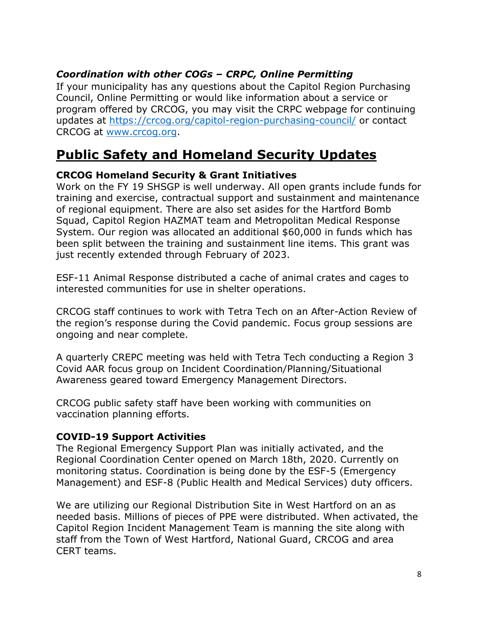## *Coordination with other COGs – CRPC, Online Permitting*

If your municipality has any questions about the Capitol Region Purchasing Council, Online Permitting or would like information about a service or program offered by CRCOG, you may visit the CRPC webpage for continuing updates at<https://crcog.org/capitol-region-purchasing-council/> or contact CRCOG at [www.crcog.org.](http://www.crcog.org/)

# **Public Safety and Homeland Security Updates**

#### **CRCOG Homeland Security & Grant Initiatives**

Work on the FY 19 SHSGP is well underway. All open grants include funds for training and exercise, contractual support and sustainment and maintenance of regional equipment. There are also set asides for the Hartford Bomb Squad, Capitol Region HAZMAT team and Metropolitan Medical Response System. Our region was allocated an additional \$60,000 in funds which has been split between the training and sustainment line items. This grant was just recently extended through February of 2023.

ESF-11 Animal Response distributed a cache of animal crates and cages to interested communities for use in shelter operations.

CRCOG staff continues to work with Tetra Tech on an After-Action Review of the region's response during the Covid pandemic. Focus group sessions are ongoing and near complete.

A quarterly CREPC meeting was held with Tetra Tech conducting a Region 3 Covid AAR focus group on Incident Coordination/Planning/Situational Awareness geared toward Emergency Management Directors.

CRCOG public safety staff have been working with communities on vaccination planning efforts.

#### **COVID-19 Support Activities**

The Regional Emergency Support Plan was initially activated, and the Regional Coordination Center opened on March 18th, 2020. Currently on monitoring status. Coordination is being done by the ESF-5 (Emergency Management) and ESF-8 (Public Health and Medical Services) duty officers.

We are utilizing our Regional Distribution Site in West Hartford on an as needed basis. Millions of pieces of PPE were distributed. When activated, the Capitol Region Incident Management Team is manning the site along with staff from the Town of West Hartford, National Guard, CRCOG and area CERT teams.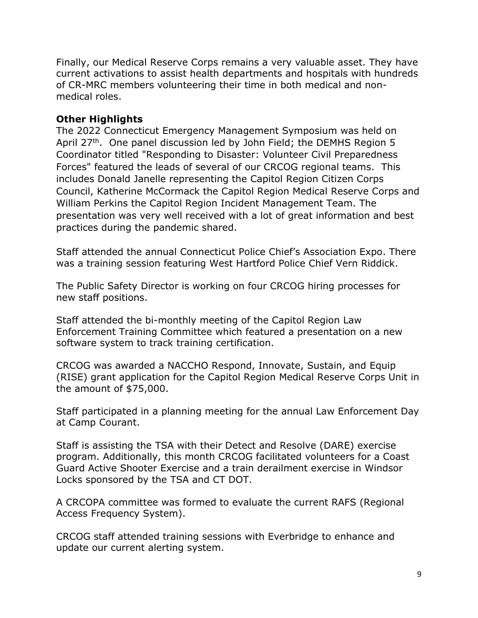Finally, our Medical Reserve Corps remains a very valuable asset. They have current activations to assist health departments and hospitals with hundreds of CR-MRC members volunteering their time in both medical and nonmedical roles.

#### **Other Highlights**

The 2022 Connecticut Emergency Management Symposium was held on April 27<sup>th</sup>. One panel discussion led by John Field; the DEMHS Region 5 Coordinator titled "Responding to Disaster: Volunteer Civil Preparedness Forces" featured the leads of several of our CRCOG regional teams. This includes Donald Janelle representing the Capitol Region Citizen Corps Council, Katherine McCormack the Capitol Region Medical Reserve Corps and William Perkins the Capitol Region Incident Management Team. The presentation was very well received with a lot of great information and best practices during the pandemic shared.

Staff attended the annual Connecticut Police Chief's Association Expo. There was a training session featuring West Hartford Police Chief Vern Riddick.

The Public Safety Director is working on four CRCOG hiring processes for new staff positions.

Staff attended the bi-monthly meeting of the Capitol Region Law Enforcement Training Committee which featured a presentation on a new software system to track training certification.

CRCOG was awarded a NACCHO Respond, Innovate, Sustain, and Equip (RISE) grant application for the Capitol Region Medical Reserve Corps Unit in the amount of \$75,000.

Staff participated in a planning meeting for the annual Law Enforcement Day at Camp Courant.

Staff is assisting the TSA with their Detect and Resolve (DARE) exercise program. Additionally, this month CRCOG facilitated volunteers for a Coast Guard Active Shooter Exercise and a train derailment exercise in Windsor Locks sponsored by the TSA and CT DOT.

A CRCOPA committee was formed to evaluate the current RAFS (Regional Access Frequency System).

CRCOG staff attended training sessions with Everbridge to enhance and update our current alerting system.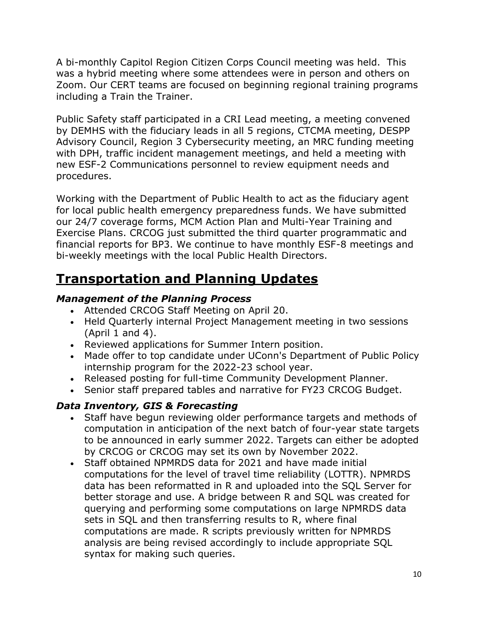A bi-monthly Capitol Region Citizen Corps Council meeting was held. This was a hybrid meeting where some attendees were in person and others on Zoom. Our CERT teams are focused on beginning regional training programs including a Train the Trainer.

Public Safety staff participated in a CRI Lead meeting, a meeting convened by DEMHS with the fiduciary leads in all 5 regions, CTCMA meeting, DESPP Advisory Council, Region 3 Cybersecurity meeting, an MRC funding meeting with DPH, traffic incident management meetings, and held a meeting with new ESF-2 Communications personnel to review equipment needs and procedures.

Working with the Department of Public Health to act as the fiduciary agent for local public health emergency preparedness funds. We have submitted our 24/7 coverage forms, MCM Action Plan and Multi-Year Training and Exercise Plans. CRCOG just submitted the third quarter programmatic and financial reports for BP3. We continue to have monthly ESF-8 meetings and bi-weekly meetings with the local Public Health Directors.

# **Transportation and Planning Updates**

#### *Management of the Planning Process*

- Attended CRCOG Staff Meeting on April 20.
- Held Quarterly internal Project Management meeting in two sessions  $(April 1 and 4).$
- Reviewed applications for Summer Intern position.
- Made offer to top candidate under UConn's Department of Public Policy internship program for the 2022-23 school year.
- Released posting for full-time Community Development Planner.
- Senior staff prepared tables and narrative for FY23 CRCOG Budget.

# *Data Inventory, GIS & Forecasting*

- Staff have begun reviewing older performance targets and methods of computation in anticipation of the next batch of four-year state targets to be announced in early summer 2022. Targets can either be adopted by CRCOG or CRCOG may set its own by November 2022.
- Staff obtained NPMRDS data for 2021 and have made initial computations for the level of travel time reliability (LOTTR). NPMRDS data has been reformatted in R and uploaded into the SQL Server for better storage and use. A bridge between R and SQL was created for querying and performing some computations on large NPMRDS data sets in SQL and then transferring results to R, where final computations are made. R scripts previously written for NPMRDS analysis are being revised accordingly to include appropriate SQL syntax for making such queries.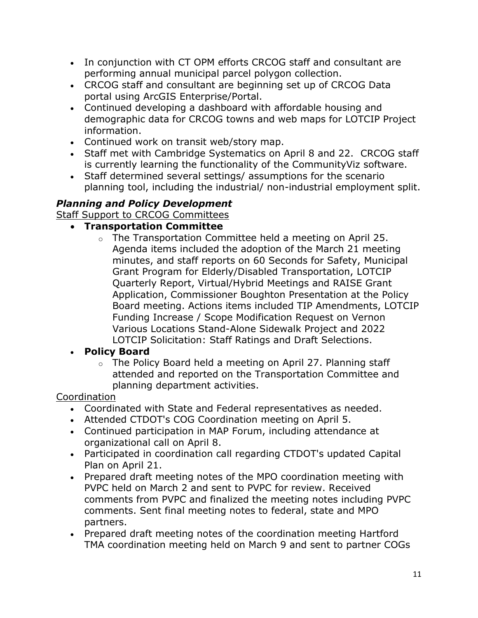- In conjunction with CT OPM efforts CRCOG staff and consultant are performing annual municipal parcel polygon collection.
- CRCOG staff and consultant are beginning set up of CRCOG Data portal using ArcGIS Enterprise/Portal.
- Continued developing a dashboard with affordable housing and demographic data for CRCOG towns and web maps for LOTCIP Project information.
- Continued work on transit web/story map.
- Staff met with Cambridge Systematics on April 8 and 22. CRCOG staff is currently learning the functionality of the CommunityViz software.
- Staff determined several settings/ assumptions for the scenario planning tool, including the industrial/ non-industrial employment split.

# *Planning and Policy Development*

Staff Support to CRCOG Committees

## • **Transportation Committee**

o The Transportation Committee held a meeting on April 25. Agenda items included the adoption of the March 21 meeting minutes, and staff reports on 60 Seconds for Safety, Municipal Grant Program for Elderly/Disabled Transportation, LOTCIP Quarterly Report, Virtual/Hybrid Meetings and RAISE Grant Application, Commissioner Boughton Presentation at the Policy Board meeting. Actions items included TIP Amendments, LOTCIP Funding Increase / Scope Modification Request on Vernon Various Locations Stand-Alone Sidewalk Project and 2022 LOTCIP Solicitation: Staff Ratings and Draft Selections.

# • **Policy Board**

o The Policy Board held a meeting on April 27. Planning staff attended and reported on the Transportation Committee and planning department activities.

# Coordination

- Coordinated with State and Federal representatives as needed.
- Attended CTDOT's COG Coordination meeting on April 5.
- Continued participation in MAP Forum, including attendance at organizational call on April 8.
- Participated in coordination call regarding CTDOT's updated Capital Plan on April 21.
- Prepared draft meeting notes of the MPO coordination meeting with PVPC held on March 2 and sent to PVPC for review. Received comments from PVPC and finalized the meeting notes including PVPC comments. Sent final meeting notes to federal, state and MPO partners.
- Prepared draft meeting notes of the coordination meeting Hartford TMA coordination meeting held on March 9 and sent to partner COGs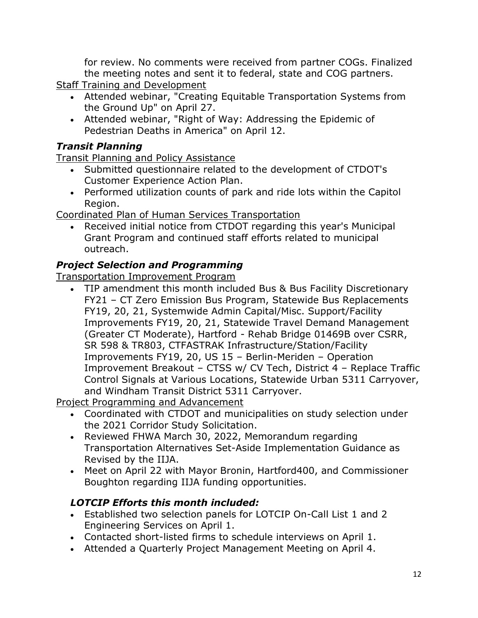for review. No comments were received from partner COGs. Finalized the meeting notes and sent it to federal, state and COG partners. **Staff Training and Development** 

- Attended webinar, "Creating Equitable Transportation Systems from the Ground Up" on April 27.
- Attended webinar, "Right of Way: Addressing the Epidemic of Pedestrian Deaths in America" on April 12.

# *Transit Planning*

Transit Planning and Policy Assistance

- Submitted questionnaire related to the development of CTDOT's Customer Experience Action Plan.
- Performed utilization counts of park and ride lots within the Capitol Region.

Coordinated Plan of Human Services Transportation

• Received initial notice from CTDOT regarding this year's Municipal Grant Program and continued staff efforts related to municipal outreach.

# *Project Selection and Programming*

Transportation Improvement Program

• TIP amendment this month included Bus & Bus Facility Discretionary FY21 – CT Zero Emission Bus Program, Statewide Bus Replacements FY19, 20, 21, Systemwide Admin Capital/Misc. Support/Facility Improvements FY19, 20, 21, Statewide Travel Demand Management (Greater CT Moderate), Hartford - Rehab Bridge 01469B over CSRR, SR 598 & TR803, CTFASTRAK Infrastructure/Station/Facility Improvements FY19, 20, US 15 – Berlin-Meriden – Operation Improvement Breakout – CTSS w/ CV Tech, District 4 – Replace Traffic Control Signals at Various Locations, Statewide Urban 5311 Carryover, and Windham Transit District 5311 Carryover.

Project Programming and Advancement

- Coordinated with CTDOT and municipalities on study selection under the 2021 Corridor Study Solicitation.
- Reviewed FHWA March 30, 2022, Memorandum regarding Transportation Alternatives Set-Aside Implementation Guidance as Revised by the IIJA.
- Meet on April 22 with Mayor Bronin, Hartford400, and Commissioner Boughton regarding IIJA funding opportunities.

# *LOTCIP Efforts this month included:*

- Established two selection panels for LOTCIP On-Call List 1 and 2 Engineering Services on April 1.
- Contacted short-listed firms to schedule interviews on April 1.
- Attended a Quarterly Project Management Meeting on April 4.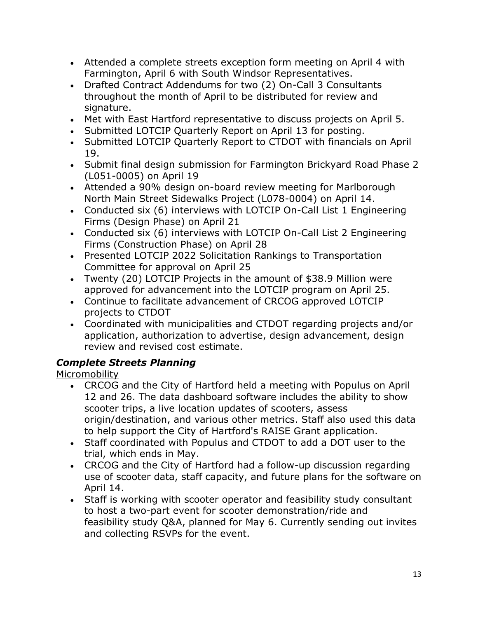- Attended a complete streets exception form meeting on April 4 with Farmington, April 6 with South Windsor Representatives.
- Drafted Contract Addendums for two (2) On-Call 3 Consultants throughout the month of April to be distributed for review and signature.
- Met with East Hartford representative to discuss projects on April 5.
- Submitted LOTCIP Quarterly Report on April 13 for posting.
- Submitted LOTCIP Quarterly Report to CTDOT with financials on April 19.
- Submit final design submission for Farmington Brickyard Road Phase 2 (L051-0005) on April 19
- Attended a 90% design on-board review meeting for Marlborough North Main Street Sidewalks Project (L078-0004) on April 14.
- Conducted six (6) interviews with LOTCIP On-Call List 1 Engineering Firms (Design Phase) on April 21
- Conducted six (6) interviews with LOTCIP On-Call List 2 Engineering Firms (Construction Phase) on April 28
- Presented LOTCIP 2022 Solicitation Rankings to Transportation Committee for approval on April 25
- Twenty (20) LOTCIP Projects in the amount of \$38.9 Million were approved for advancement into the LOTCIP program on April 25.
- Continue to facilitate advancement of CRCOG approved LOTCIP projects to CTDOT
- Coordinated with municipalities and CTDOT regarding projects and/or application, authorization to advertise, design advancement, design review and revised cost estimate.

# *Complete Streets Planning*

Micromobility

- CRCOG and the City of Hartford held a meeting with Populus on April 12 and 26. The data dashboard software includes the ability to show scooter trips, a live location updates of scooters, assess origin/destination, and various other metrics. Staff also used this data to help support the City of Hartford's RAISE Grant application.
- Staff coordinated with Populus and CTDOT to add a DOT user to the trial, which ends in May.
- CRCOG and the City of Hartford had a follow-up discussion regarding use of scooter data, staff capacity, and future plans for the software on April 14.
- Staff is working with scooter operator and feasibility study consultant to host a two-part event for scooter demonstration/ride and feasibility study Q&A, planned for May 6. Currently sending out invites and collecting RSVPs for the event.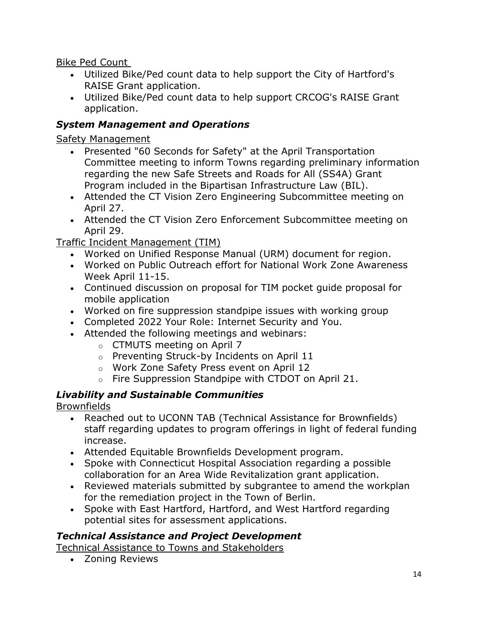Bike Ped Count

- Utilized Bike/Ped count data to help support the City of Hartford's RAISE Grant application.
- Utilized Bike/Ped count data to help support CRCOG's RAISE Grant application.

# *System Management and Operations*

Safety Management

- Presented "60 Seconds for Safety" at the April Transportation Committee meeting to inform Towns regarding preliminary information regarding the new Safe Streets and Roads for All (SS4A) Grant Program included in the Bipartisan Infrastructure Law (BIL).
- Attended the CT Vision Zero Engineering Subcommittee meeting on April 27.
- Attended the CT Vision Zero Enforcement Subcommittee meeting on April 29.

Traffic Incident Management (TIM)

- Worked on Unified Response Manual (URM) document for region.
- Worked on Public Outreach effort for National Work Zone Awareness Week April 11-15.
- Continued discussion on proposal for TIM pocket guide proposal for mobile application
- Worked on fire suppression standpipe issues with working group
- Completed 2022 Your Role: Internet Security and You.
- Attended the following meetings and webinars:
	- o CTMUTS meeting on April 7
	- o Preventing Struck-by Incidents on April 11
	- o Work Zone Safety Press event on April 12
	- o Fire Suppression Standpipe with CTDOT on April 21.

# *Livability and Sustainable Communities*

Brownfields

- Reached out to UCONN TAB (Technical Assistance for Brownfields) staff regarding updates to program offerings in light of federal funding increase.
- Attended Equitable Brownfields Development program.
- Spoke with Connecticut Hospital Association regarding a possible collaboration for an Area Wide Revitalization grant application.
- Reviewed materials submitted by subgrantee to amend the workplan for the remediation project in the Town of Berlin.
- Spoke with East Hartford, Hartford, and West Hartford regarding potential sites for assessment applications.

# *Technical Assistance and Project Development*

Technical Assistance to Towns and Stakeholders

• Zoning Reviews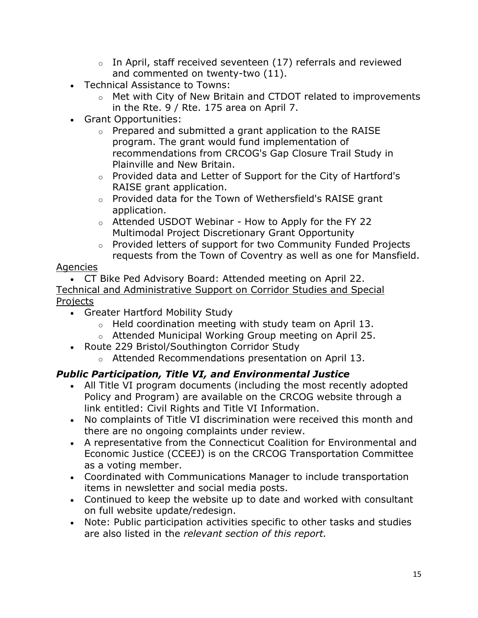- $\circ$  In April, staff received seventeen (17) referrals and reviewed and commented on twenty-two (11).
- Technical Assistance to Towns:
	- o Met with City of New Britain and CTDOT related to improvements in the Rte. 9 / Rte. 175 area on April 7.
- Grant Opportunities:
	- o Prepared and submitted a grant application to the RAISE program. The grant would fund implementation of recommendations from CRCOG's Gap Closure Trail Study in Plainville and New Britain.
	- o Provided data and Letter of Support for the City of Hartford's RAISE grant application.
	- o Provided data for the Town of Wethersfield's RAISE grant application.
	- o Attended USDOT Webinar How to Apply for the FY 22 Multimodal Project Discretionary Grant Opportunity
	- o Provided letters of support for two Community Funded Projects requests from the Town of Coventry as well as one for Mansfield.

# Agencies

• CT Bike Ped Advisory Board: Attended meeting on April 22. Technical and Administrative Support on Corridor Studies and Special Projects

- Greater Hartford Mobility Study
	- o Held coordination meeting with study team on April 13.
	- o Attended Municipal Working Group meeting on April 25.
- Route 229 Bristol/Southington Corridor Study
	- o Attended Recommendations presentation on April 13.

# *Public Participation, Title VI, and Environmental Justice*

- All Title VI program documents (including the most recently adopted Policy and Program) are available on the CRCOG website through a link entitled: Civil Rights and Title VI Information.
- No complaints of Title VI discrimination were received this month and there are no ongoing complaints under review.
- A representative from the Connecticut Coalition for Environmental and Economic Justice (CCEEJ) is on the CRCOG Transportation Committee as a voting member.
- Coordinated with Communications Manager to include transportation items in newsletter and social media posts.
- Continued to keep the website up to date and worked with consultant on full website update/redesign.
- Note: Public participation activities specific to other tasks and studies are also listed in the *relevant section of this report.*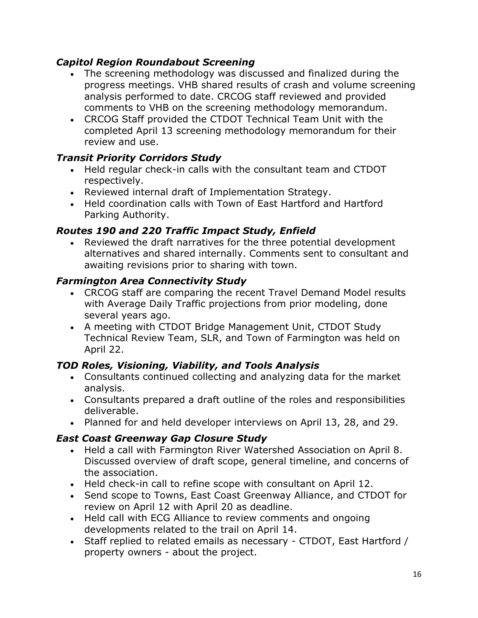## *Capitol Region Roundabout Screening*

- The screening methodology was discussed and finalized during the progress meetings. VHB shared results of crash and volume screening analysis performed to date. CRCOG staff reviewed and provided comments to VHB on the screening methodology memorandum.
- CRCOG Staff provided the CTDOT Technical Team Unit with the completed April 13 screening methodology memorandum for their review and use.

# *Transit Priority Corridors Study*

- Held regular check-in calls with the consultant team and CTDOT respectively.
- Reviewed internal draft of Implementation Strategy.
- Held coordination calls with Town of East Hartford and Hartford Parking Authority.

## *Routes 190 and 220 Traffic Impact Study, Enfield*

• Reviewed the draft narratives for the three potential development alternatives and shared internally. Comments sent to consultant and awaiting revisions prior to sharing with town.

#### *Farmington Area Connectivity Study*

- CRCOG staff are comparing the recent Travel Demand Model results with Average Daily Traffic projections from prior modeling, done several years ago.
- A meeting with CTDOT Bridge Management Unit, CTDOT Study Technical Review Team, SLR, and Town of Farmington was held on April 22.

# *TOD Roles, Visioning, Viability, and Tools Analysis*

- Consultants continued collecting and analyzing data for the market analysis.
- Consultants prepared a draft outline of the roles and responsibilities deliverable.
- Planned for and held developer interviews on April 13, 28, and 29.

# *East Coast Greenway Gap Closure Study*

- Held a call with Farmington River Watershed Association on April 8. Discussed overview of draft scope, general timeline, and concerns of the association.
- Held check-in call to refine scope with consultant on April 12.
- Send scope to Towns, East Coast Greenway Alliance, and CTDOT for review on April 12 with April 20 as deadline.
- Held call with ECG Alliance to review comments and ongoing developments related to the trail on April 14.
- Staff replied to related emails as necessary CTDOT, East Hartford / property owners - about the project.